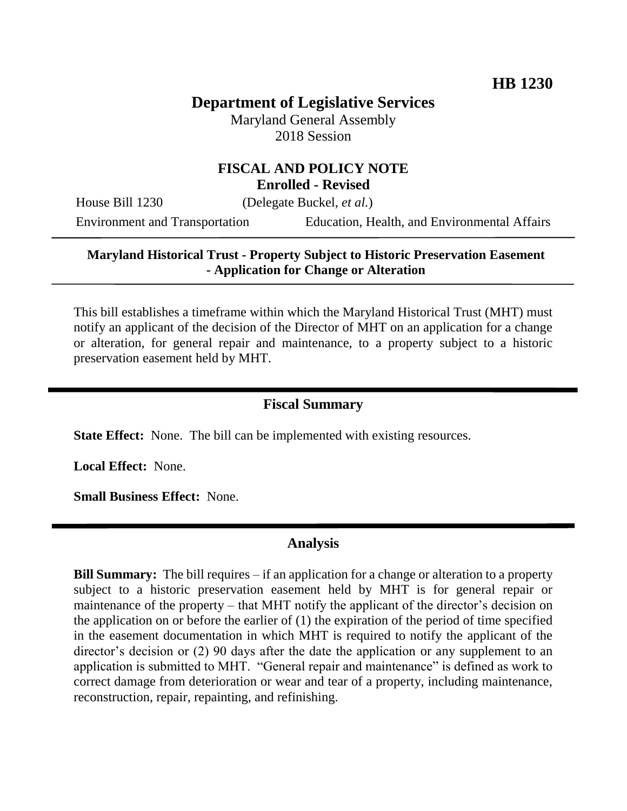## **Department of Legislative Services**

Maryland General Assembly 2018 Session

# **FISCAL AND POLICY NOTE**

**Enrolled - Revised**

House Bill 1230 (Delegate Buckel, *et al.*)

Environment and Transportation Education, Health, and Environmental Affairs

#### **Maryland Historical Trust - Property Subject to Historic Preservation Easement - Application for Change or Alteration**

This bill establishes a timeframe within which the Maryland Historical Trust (MHT) must notify an applicant of the decision of the Director of MHT on an application for a change or alteration, for general repair and maintenance, to a property subject to a historic preservation easement held by MHT.

#### **Fiscal Summary**

**State Effect:** None. The bill can be implemented with existing resources.

**Local Effect:** None.

**Small Business Effect:** None.

#### **Analysis**

**Bill Summary:** The bill requires – if an application for a change or alteration to a property subject to a historic preservation easement held by MHT is for general repair or maintenance of the property – that MHT notify the applicant of the director's decision on the application on or before the earlier of (1) the expiration of the period of time specified in the easement documentation in which MHT is required to notify the applicant of the director's decision or (2) 90 days after the date the application or any supplement to an application is submitted to MHT. "General repair and maintenance" is defined as work to correct damage from deterioration or wear and tear of a property, including maintenance, reconstruction, repair, repainting, and refinishing.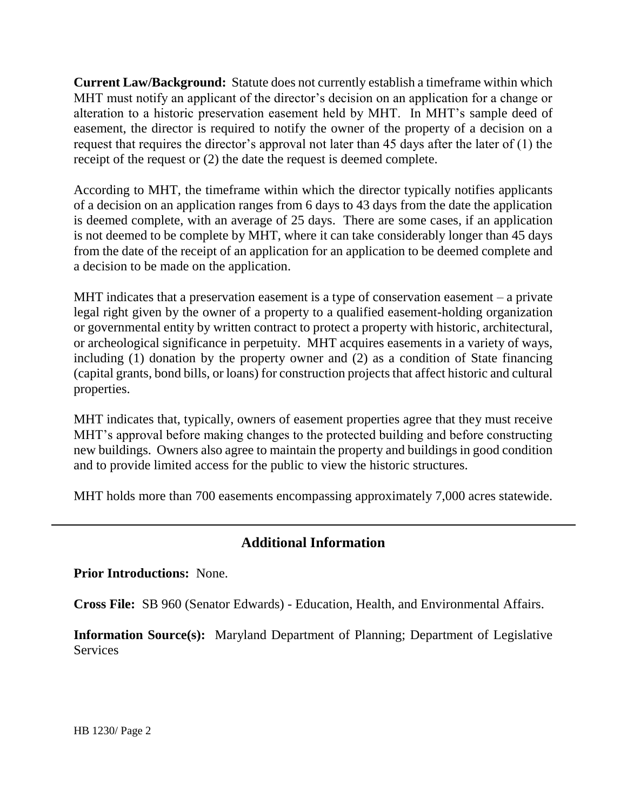**Current Law/Background:** Statute does not currently establish a timeframe within which MHT must notify an applicant of the director's decision on an application for a change or alteration to a historic preservation easement held by MHT. In MHT's sample deed of easement, the director is required to notify the owner of the property of a decision on a request that requires the director's approval not later than 45 days after the later of (1) the receipt of the request or (2) the date the request is deemed complete.

According to MHT, the timeframe within which the director typically notifies applicants of a decision on an application ranges from 6 days to 43 days from the date the application is deemed complete, with an average of 25 days. There are some cases, if an application is not deemed to be complete by MHT, where it can take considerably longer than 45 days from the date of the receipt of an application for an application to be deemed complete and a decision to be made on the application.

MHT indicates that a preservation easement is a type of conservation easement – a private legal right given by the owner of a property to a qualified easement-holding organization or governmental entity by written contract to protect a property with historic, architectural, or archeological significance in perpetuity. MHT acquires easements in a variety of ways, including (1) donation by the property owner and (2) as a condition of State financing (capital grants, bond bills, or loans) for construction projects that affect historic and cultural properties.

MHT indicates that, typically, owners of easement properties agree that they must receive MHT's approval before making changes to the protected building and before constructing new buildings. Owners also agree to maintain the property and buildings in good condition and to provide limited access for the public to view the historic structures.

MHT holds more than 700 easements encompassing approximately 7,000 acres statewide.

### **Additional Information**

**Prior Introductions:** None.

**Cross File:** SB 960 (Senator Edwards) - Education, Health, and Environmental Affairs.

**Information Source(s):** Maryland Department of Planning; Department of Legislative **Services**